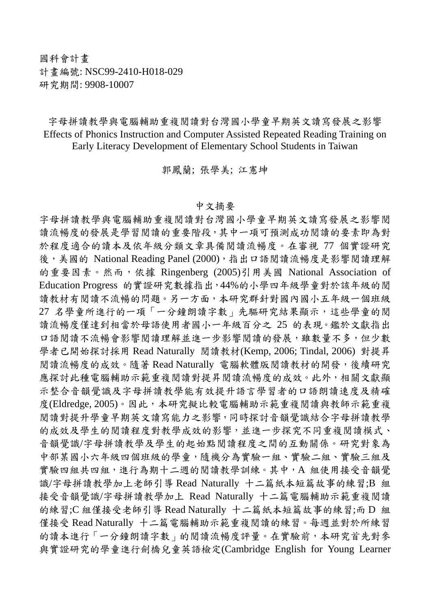## 國科會計畫 計畫編號: NSC99-2410-H018-029 研究期間: 9908-10007

字母拼讀教學與電腦輔助重複閱讀對台灣國小學童早期英文讀寫發展之影響 Effects of Phonics Instruction and Computer Assisted Repeated Reading Training on Early Literacy Development of Elementary School Students in Taiwan

郭鳳蘭; 張學美; 江憲坤

## 中文摘要

字母拼讀教學與電腦輔助重複閱讀對台灣國小學童早期英文讀寫發展之影響閱 讀流暢度的發展是學習閱讀的重要階段,其中一項可預測成功閱讀的要素即為對 於程度適合的讀本及依年級分類文章具備閱讀流暢度。在審視 77 個實證研究 後,美國的 National Reading Panel (2000),指出口語閱讀流暢度是影響閱讀理解 的重要因素。然而,依據 Ringenberg (2005)引用美國 National Association of Education Progress 的實證研究數據指出,44%的小學四年級學童對於該年級的閱 讀教材有閱讀不流暢的問題。另一方面,本研究群針對國內國小五年級一個班級 27 名學童所進行的一項「一分鐘朗讀字數」先驅研究結果顯示,這些學童的閱 讀流暢度僅達到相當於母語使用者國小一年級百分之 25 的表現。鑑於文獻指出 口語閱讀不流暢會影響閱讀運解並進一步影響閱讀的發展,雖數量不多,但少數 學者已開始探討採用 Read Naturally 閱讀教材(Kemp, 2006; Tindal, 2006) 對提昇 閱讀流暢度的成效。隨著 Read Naturally 電腦軟體版閱讀教材的開發,後續研究 應探討此種電腦輔助示範重複閱讀對提昇閱讀流暢度的成效。此外,相關文獻顯 示整合音韻覺識及字母拼讀教學能有效提升語言學習者的口語朗讀速度及精確 度(Eldredge, 2005)。因此,本研究擬比較電腦輔助示範重複閱讀與教師示範重複 閱讀對提升學童早期英文讀寫能力之影響,同時探討音韻覺識結合字母拼讀教學 的成效及學生的閱讀程度對教學成效的影響,並進一步探究不同重複閱讀模式、 音韻覺識/字母拼讀教學及學生的起始點閱讀程度之間的互動關係。研究對象為 中部某國小六年級四個班級的學童,隨機分為實驗一組、實驗二組、實驗三組及 實驗四組共四組,進行為期十二週的閱讀教學訓練。其中,A 組使用接受音韻覺 識/字母拼讀教學加上老師引導 Read Naturally 十二篇紙本短篇故事的練習;B 組 接受音韻覺識/字母拼讀教學加上 Read Naturally 十二篇電腦輔助示範重複閱讀 的練習;C 組僅接受老師引導 Read Naturally 十二篇紙本短篇故事的練習;而 D 組 僅接受 Read Naturally 十二篇電腦輔助示範重複閱讀的練習。每週並對於所練習 的讀本進行「一分鐘朗讀字數」的閱讀流暢度評量。在實驗前,本研究首先對參 與實證研究的學童進行劍橋兒童英語檢定(Cambridge English for Young Learner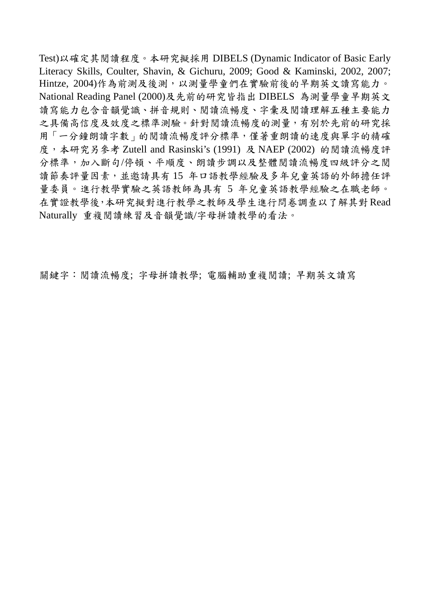Test)以確定其閱讀程度。本研究擬採用 DIBELS (Dynamic Indicator of Basic Early Literacy Skills, Coulter, Shavin, & Gichuru, 2009; Good & Kaminski, 2002, 2007; Hintze, 2004)作為前測及後測,以測量學童們在實驗前後的早期英文讀寫能力。 National Reading Panel (2000)及先前的研究皆指出 DIBELS 為測量學童早期英文 讀寫能力包含音韻覺識、拼音規則、閱讀流暢度、字彙及閱讀理解五種主要能力 之具備高信度及效度之標準測驗。針對閱讀流暢度的測量,有別於先前的研究採 用「一分鐘朗讀字數」的閱讀流暢度評分標準,僅著重朗讀的速度與單字的精確 度,本研究另參考 Zutell and Rasinski's (1991) 及 NAEP (2002) 的閱讀流暢度評 分標準,加入斷句/停頓、平順度、朗讀步調以及整體閱讀流暢度四級評分之閱 讀節奏評量因素,並邀請具有 15 年口語教學經驗及多年兒童英語的外師擔任評 量委員。進行教學實驗之英語教師為具有 5 年兒童英語教學經驗之在職老師。 在實證教學後,本研究擬對進行教學之教師及學生進行問卷調查以了解其對Read Naturally 重複閱讀練習及音韻覺識/字母拼讀教學的看法。

關鍵字:閱讀流暢度; 字母拼讀教學; 電腦輔助重複閱讀; 早期英文讀寫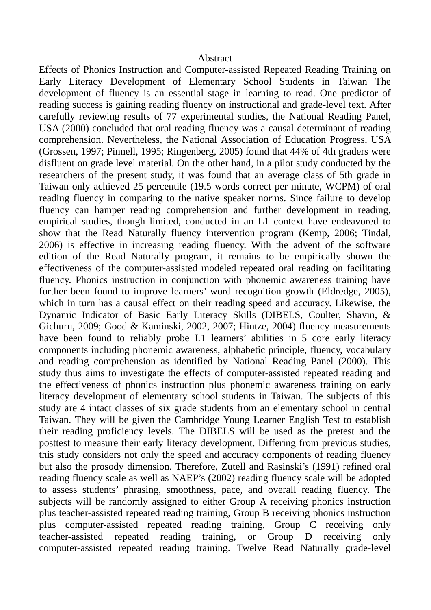## Abstract

Effects of Phonics Instruction and Computer-assisted Repeated Reading Training on Early Literacy Development of Elementary School Students in Taiwan The development of fluency is an essential stage in learning to read. One predictor of reading success is gaining reading fluency on instructional and grade-level text. After carefully reviewing results of 77 experimental studies, the National Reading Panel, USA (2000) concluded that oral reading fluency was a causal determinant of reading comprehension. Nevertheless, the National Association of Education Progress, USA (Grossen, 1997; Pinnell, 1995; Ringenberg, 2005) found that 44% of 4th graders were disfluent on grade level material. On the other hand, in a pilot study conducted by the researchers of the present study, it was found that an average class of 5th grade in Taiwan only achieved 25 percentile (19.5 words correct per minute, WCPM) of oral reading fluency in comparing to the native speaker norms. Since failure to develop fluency can hamper reading comprehension and further development in reading, empirical studies, though limited, conducted in an L1 context have endeavored to show that the Read Naturally fluency intervention program (Kemp, 2006; Tindal, 2006) is effective in increasing reading fluency. With the advent of the software edition of the Read Naturally program, it remains to be empirically shown the effectiveness of the computer-assisted modeled repeated oral reading on facilitating fluency. Phonics instruction in conjunction with phonemic awareness training have further been found to improve learners' word recognition growth (Eldredge, 2005), which in turn has a causal effect on their reading speed and accuracy. Likewise, the Dynamic Indicator of Basic Early Literacy Skills (DIBELS, Coulter, Shavin, & Gichuru, 2009; Good & Kaminski, 2002, 2007; Hintze, 2004) fluency measurements have been found to reliably probe L1 learners' abilities in 5 core early literacy components including phonemic awareness, alphabetic principle, fluency, vocabulary and reading comprehension as identified by National Reading Panel (2000). This study thus aims to investigate the effects of computer-assisted repeated reading and the effectiveness of phonics instruction plus phonemic awareness training on early literacy development of elementary school students in Taiwan. The subjects of this study are 4 intact classes of six grade students from an elementary school in central Taiwan. They will be given the Cambridge Young Learner English Test to establish their reading proficiency levels. The DIBELS will be used as the pretest and the posttest to measure their early literacy development. Differing from previous studies, this study considers not only the speed and accuracy components of reading fluency but also the prosody dimension. Therefore, Zutell and Rasinski's (1991) refined oral reading fluency scale as well as NAEP's (2002) reading fluency scale will be adopted to assess students' phrasing, smoothness, pace, and overall reading fluency. The subjects will be randomly assigned to either Group A receiving phonics instruction plus teacher-assisted repeated reading training, Group B receiving phonics instruction plus computer-assisted repeated reading training, Group C receiving only teacher-assisted repeated reading training, or Group D receiving only computer-assisted repeated reading training. Twelve Read Naturally grade-level